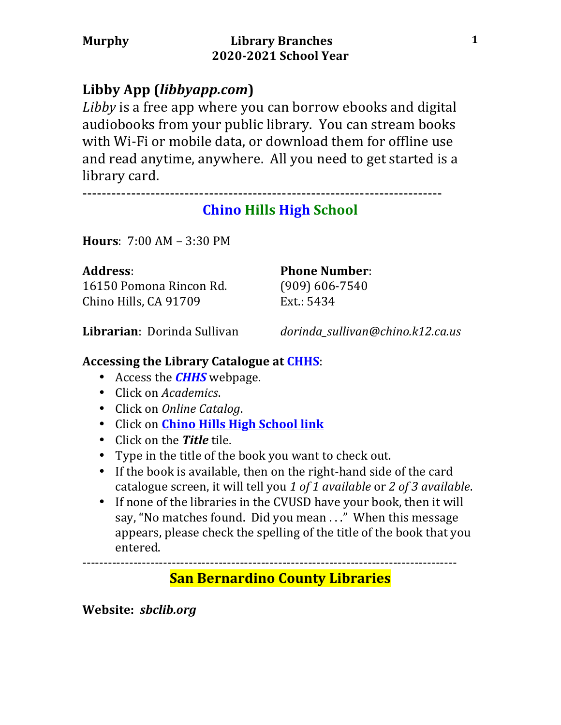# **Libby App (***libbyapp.com***)**

Libby is a free app where you can borrow ebooks and digital audiobooks from your public library. You can stream books with Wi-Fi or mobile data, or download them for offline use and read anytime, anywhere. All you need to get started is a library card.

--------------------------------------------------------------------------

# **Chino Hills High School**

**Hours**:  $7:00$  AM – 3:30 PM

16150 Pomona Rincon Rd. (909) 606-7540 Chino Hills, CA 91709 Ext.: 5434

Address: **Phone Number:** 

**Librarian**: Dorinda Sullivan *dorinda\_sullivan@chino.k12.ca.us*

## Accessing the Library Catalogue at CHHS:

- Access the *CHHS* webpage.
- Click on *Academics*.
- Click on *Online Catalog*.
- Click on **Chino Hills High School link**
- Click on the **Title** tile.
- Type in the title of the book you want to check out.
- If the book is available, then on the right-hand side of the card catalogue screen, it will tell you 1 of 1 available or 2 of 3 available.
- If none of the libraries in the CVUSD have your book, then it will say, "No matches found. Did you mean . .." When this message appears, please check the spelling of the title of the book that you entered.

----------------------------------------------------------------------------------------

# **San Bernardino County Libraries**

**Website:** *sbclib.org*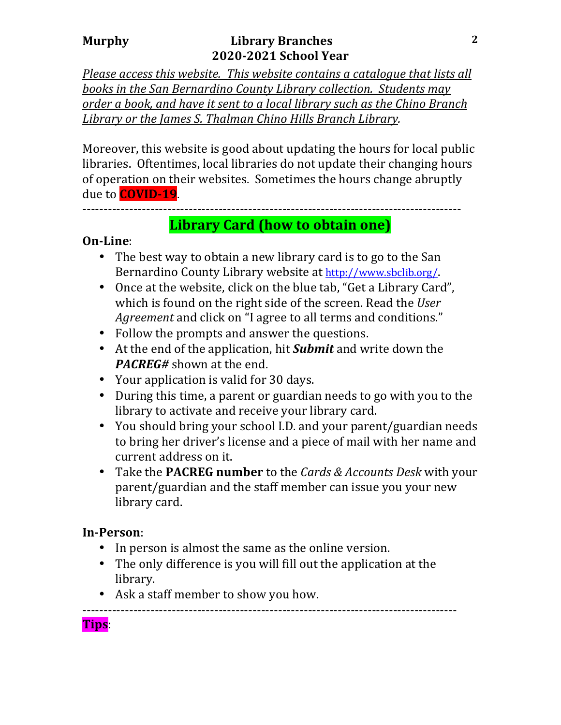### **Murphy** *Library Branches* **2020-2021 School Year**

*Please access this website. This website contains a catalogue that lists all* books in the San Bernardino County Library collection. Students may *order a book, and have it sent to a local library such as the Chino Branch* Library or the James S. Thalman Chino Hills Branch Library.

Moreover, this website is good about updating the hours for local public libraries. Oftentimes, local libraries do not update their changing hours of operation on their websites. Sometimes the hours change abruptly due to **COVID-19**.

-----------------------------------------------------------------------------------------

## **Library Card (how to obtain one)**

### **On-Line**:

- The best way to obtain a new library card is to go to the San Bernardino County Library website at http://www.sbclib.org/.
- Once at the website, click on the blue tab, "Get a Library Card", which is found on the right side of the screen. Read the *User Agreement* and click on "I agree to all terms and conditions."
- Follow the prompts and answer the questions.
- At the end of the application, hit **Submit** and write down the *PACREG#* shown at the end.
- Your application is valid for 30 days.
- During this time, a parent or guardian needs to go with you to the library to activate and receive your library card.
- You should bring your school I.D. and your parent/guardian needs to bring her driver's license and a piece of mail with her name and current address on it.
- Take the **PACREG number** to the *Cards & Accounts Desk* with your parent/guardian and the staff member can issue you your new library card.

## **In-Person**:

- In person is almost the same as the online version.
- The only difference is you will fill out the application at the library.
- Ask a staff member to show you how.

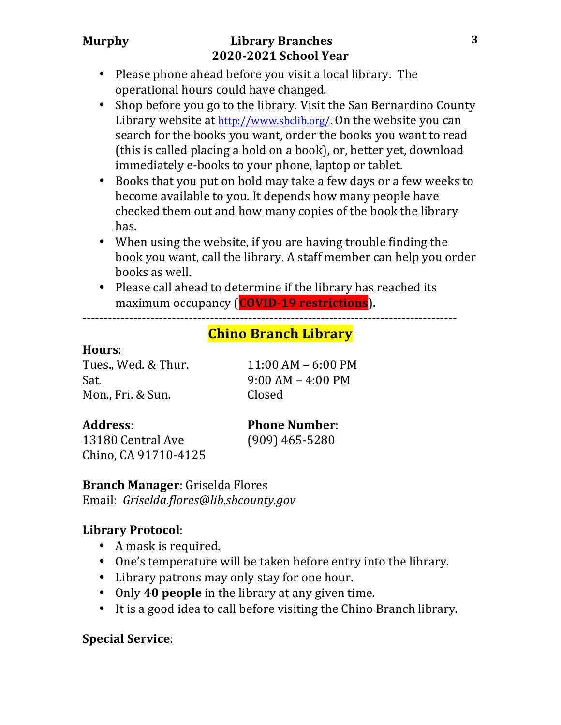## **Murphy** *Library Branches* **2020-2021 School Year**

- Please phone ahead before you visit a local library. The operational hours could have changed.
- Shop before you go to the library. Visit the San Bernardino County Library website at  $http://www.sbclib.org/$ . On the website you can search for the books you want, order the books you want to read (this is called placing a hold on a book), or, better yet, download immediately e-books to your phone, laptop or tablet.
- Books that you put on hold may take a few days or a few weeks to become available to you. It depends how many people have checked them out and how many copies of the book the library has.
- When using the website, if you are having trouble finding the book you want, call the library. A staff member can help you order books as well.
- Please call ahead to determine if the library has reached its maximum occupancy (**COVID-19 restrictions**).

----------------------------------------------------------------------------------------

## **Chino Branch Library**

### **Hours**:

Tues., Wed. & Thur. 11:00 AM – 6:00 PM Sat. 9:00 AM – 4:00 PM Mon., Fri. & Sun. Closed

13180 Central Ave (909) 465-5280 Chino, CA 91710-4125

## **Address: Phone Number:**

### **Branch Manager:** Griselda Flores

Email: *Griselda.flores@lib.sbcounty.gov*

## **Library Protocol**:

- A mask is required.
- One's temperature will be taken before entry into the library.
- Library patrons may only stay for one hour.
- Only **40 people** in the library at any given time.
- It is a good idea to call before visiting the Chino Branch library.

## **Special Service**: